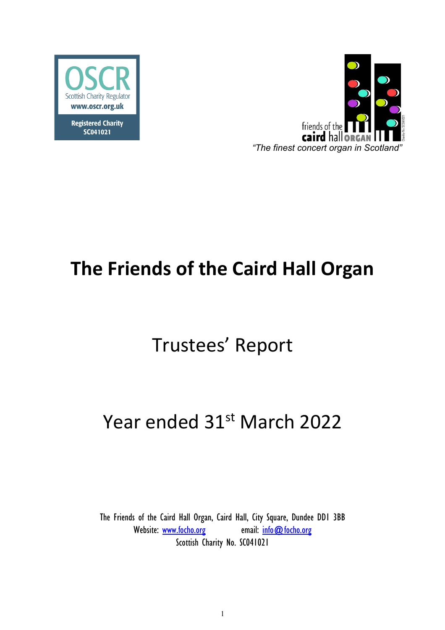

**Registered Charity** SC041021



# **The Friends of the Caird Hall Organ**

## Trustees' Report

## Year ended 31st March 2022

The Friends of the Caird Hall Organ, Caird Hall, City Square, Dundee DD1 3BB Website: www.focho.org email: info@focho.org Scottish Charity No. SC041021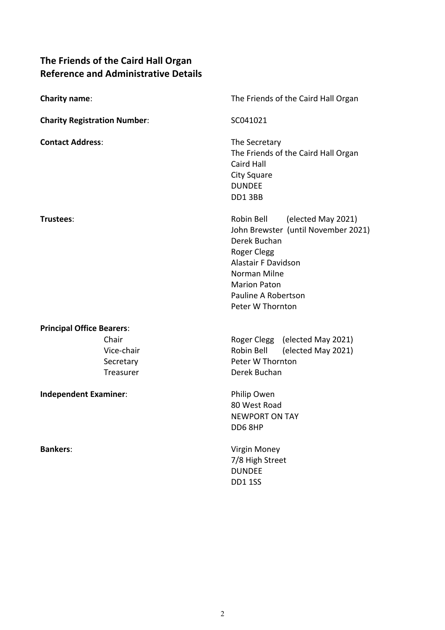## **The Friends of the Caird Hall Organ Reference and Administrative Details**

| <b>Charity name:</b>                          | The Friends of the Caird Hall Organ                                                                                                                                                                                    |  |  |
|-----------------------------------------------|------------------------------------------------------------------------------------------------------------------------------------------------------------------------------------------------------------------------|--|--|
| <b>Charity Registration Number:</b>           | SC041021                                                                                                                                                                                                               |  |  |
| <b>Contact Address:</b>                       | The Secretary<br>The Friends of the Caird Hall Organ<br><b>Caird Hall</b><br><b>City Square</b><br><b>DUNDEE</b><br>DD13BB                                                                                             |  |  |
| Trustees:                                     | Robin Bell<br>(elected May 2021)<br>John Brewster (until November 2021)<br>Derek Buchan<br>Roger Clegg<br><b>Alastair F Davidson</b><br>Norman Milne<br><b>Marion Paton</b><br>Pauline A Robertson<br>Peter W Thornton |  |  |
| <b>Principal Office Bearers:</b>              |                                                                                                                                                                                                                        |  |  |
| Chair<br>Vice-chair<br>Secretary<br>Treasurer | Roger Clegg (elected May 2021)<br>Robin Bell<br>(elected May 2021)<br>Peter W Thornton<br>Derek Buchan                                                                                                                 |  |  |
| <b>Independent Examiner:</b>                  | Philip Owen<br>80 West Road<br><b>NEWPORT ON TAY</b><br>DD6 8HP                                                                                                                                                        |  |  |
| <b>Bankers:</b>                               | Virgin Money<br>7/8 High Street<br><b>DUNDEE</b><br><b>DD1 1SS</b>                                                                                                                                                     |  |  |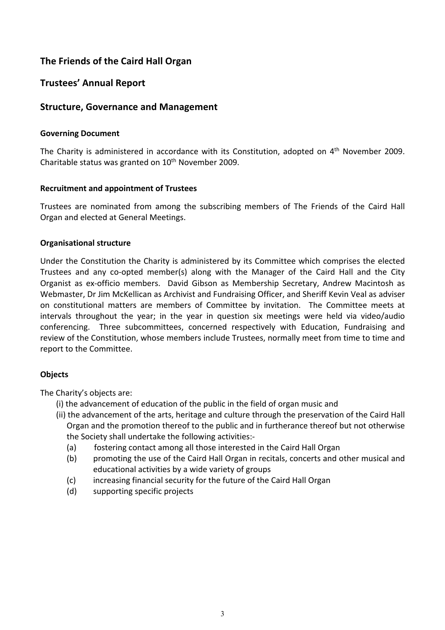## **The Friends of the Caird Hall Organ**

## **Trustees' Annual Report**

## **Structure, Governance and Management**

### **Governing Document**

The Charity is administered in accordance with its Constitution, adopted on 4<sup>th</sup> November 2009. Charitable status was granted on  $10<sup>th</sup>$  November 2009.

### **Recruitment and appointment of Trustees**

Trustees are nominated from among the subscribing members of The Friends of the Caird Hall Organ and elected at General Meetings.

### **Organisational structure**

Under the Constitution the Charity is administered by its Committee which comprises the elected Trustees and any co-opted member(s) along with the Manager of the Caird Hall and the City Organist as ex-officio members. David Gibson as Membership Secretary, Andrew Macintosh as Webmaster, Dr Jim McKellican as Archivist and Fundraising Officer, and Sheriff Kevin Veal as adviser on constitutional matters are members of Committee by invitation. The Committee meets at intervals throughout the year; in the year in question six meetings were held via video/audio conferencing. Three subcommittees, concerned respectively with Education, Fundraising and review of the Constitution, whose members include Trustees, normally meet from time to time and report to the Committee.

## **Objects**

The Charity's objects are:

- (i) the advancement of education of the public in the field of organ music and
- (ii) the advancement of the arts, heritage and culture through the preservation of the Caird Hall Organ and the promotion thereof to the public and in furtherance thereof but not otherwise the Society shall undertake the following activities:-
	- (a) fostering contact among all those interested in the Caird Hall Organ
	- (b) promoting the use of the Caird Hall Organ in recitals, concerts and other musical and educational activities by a wide variety of groups
	- (c) increasing financial security for the future of the Caird Hall Organ
	- (d) supporting specific projects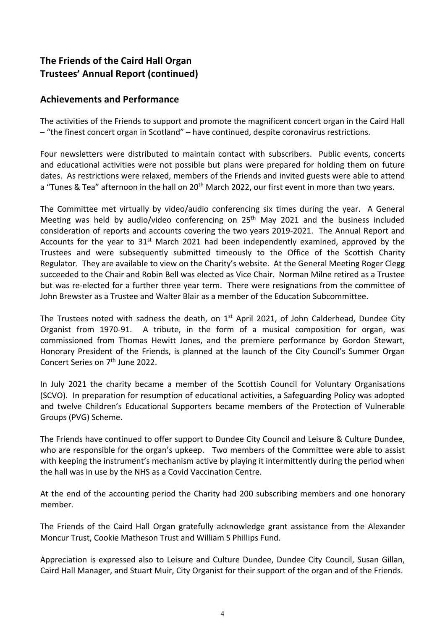## **The Friends of the Caird Hall Organ Trustees' Annual Report (continued)**

## **Achievements and Performance**

The activities of the Friends to support and promote the magnificent concert organ in the Caird Hall – "the finest concert organ in Scotland" – have continued, despite coronavirus restrictions.

Four newsletters were distributed to maintain contact with subscribers. Public events, concerts and educational activities were not possible but plans were prepared for holding them on future dates. As restrictions were relaxed, members of the Friends and invited guests were able to attend a "Tunes & Tea" afternoon in the hall on 20<sup>th</sup> March 2022, our first event in more than two vears.

The Committee met virtually by video/audio conferencing six times during the year. A General Meeting was held by audio/video conferencing on 25<sup>th</sup> May 2021 and the business included consideration of reports and accounts covering the two years 2019-2021. The Annual Report and Accounts for the year to  $31^{st}$  March 2021 had been independently examined, approved by the Trustees and were subsequently submitted timeously to the Office of the Scottish Charity Regulator. They are available to view on the Charity's website. At the General Meeting Roger Clegg succeeded to the Chair and Robin Bell was elected as Vice Chair. Norman Milne retired as a Trustee but was re-elected for a further three year term. There were resignations from the committee of John Brewster as a Trustee and Walter Blair as a member of the Education Subcommittee.

The Trustees noted with sadness the death, on  $1<sup>st</sup>$  April 2021, of John Calderhead, Dundee City Organist from 1970-91. A tribute, in the form of a musical composition for organ, was commissioned from Thomas Hewitt Jones, and the premiere performance by Gordon Stewart, Honorary President of the Friends, is planned at the launch of the City Council's Summer Organ Concert Series on 7<sup>th</sup> June 2022.

In July 2021 the charity became a member of the Scottish Council for Voluntary Organisations (SCVO). In preparation for resumption of educational activities, a Safeguarding Policy was adopted and twelve Children's Educational Supporters became members of the Protection of Vulnerable Groups (PVG) Scheme.

The Friends have continued to offer support to Dundee City Council and Leisure & Culture Dundee, who are responsible for the organ's upkeep. Two members of the Committee were able to assist with keeping the instrument's mechanism active by playing it intermittently during the period when the hall was in use by the NHS as a Covid Vaccination Centre.

At the end of the accounting period the Charity had 200 subscribing members and one honorary member.

The Friends of the Caird Hall Organ gratefully acknowledge grant assistance from the Alexander Moncur Trust, Cookie Matheson Trust and William S Phillips Fund.

Appreciation is expressed also to Leisure and Culture Dundee, Dundee City Council, Susan Gillan, Caird Hall Manager, and Stuart Muir, City Organist for their support of the organ and of the Friends.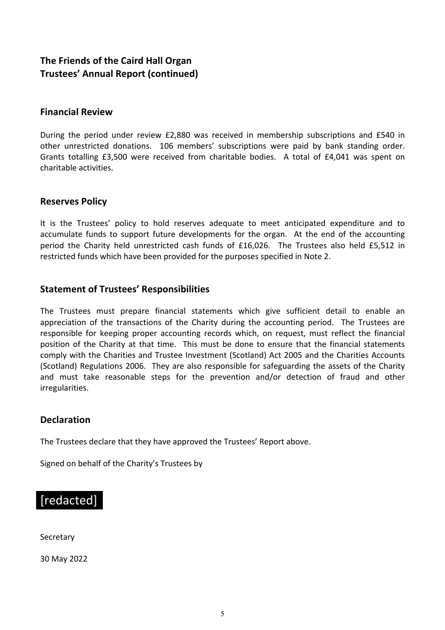## **The Friends of the Caird Hall Organ Trustees' Annual Report (continued)**

## **Financial Review**

During the period under review £2,880 was received in membership subscriptions and £540 in other unrestricted donations. 106 members' subscriptions were paid by bank standing order. Grants totalling £3,500 were received from charitable bodies. A total of £4,041 was spent on charitable activities.

## **Reserves Policy**

It is the Trustees' policy to hold reserves adequate to meet anticipated expenditure and to accumulate funds to support future developments for the organ. At the end of the accounting period the Charity held unrestricted cash funds of £16,026. The Trustees also held £5,512 in restricted funds which have been provided for the purposes specified in Note 2.

## **Statement of Trustees' Responsibilities**

The Trustees must prepare financial statements which give sufficient detail to enable an appreciation of the transactions of the Charity during the accounting period. The Trustees are responsible for keeping proper accounting records which, on request, must reflect the financial position of the Charity at that time. This must be done to ensure that the financial statements comply with the Charities and Trustee Investment (Scotland) Act 2005 and the Charities Accounts (Scotland) Regulations 2006. They are also responsible for safeguarding the assets of the Charity and must take reasonable steps for the prevention and/or detection of fraud and other irregularities.

## **Declaration**

The Trustees declare that they have approved the Trustees' Report above.

Signed on behalf of the Charity's Trustees by

## [redacted]

**Secretary** 

30 May 2022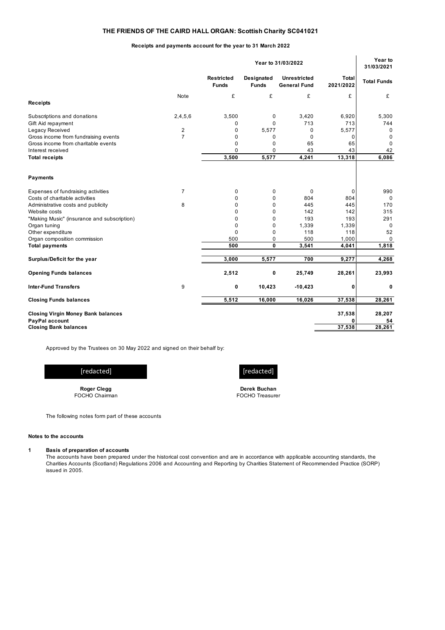#### **THE FRIENDS OF THE CAIRD HALL ORGAN: Scottish Charity SC041021**

#### **Receipts and payments account for the year to 31 March 2022**

|                                                              | Year to 31/03/2022                |                                   |                                            |                           | 31/03/2021         |
|--------------------------------------------------------------|-----------------------------------|-----------------------------------|--------------------------------------------|---------------------------|--------------------|
|                                                              | <b>Restricted</b><br><b>Funds</b> | <b>Designated</b><br><b>Funds</b> | <b>Unrestricted</b><br><b>General Fund</b> | <b>Total</b><br>2021/2022 | <b>Total Funds</b> |
| Note<br><b>Receipts</b>                                      | £                                 | £                                 | £                                          | £                         | £                  |
| Subscriptions and donations<br>2,4,5,6<br>Gift Aid repayment | 3,500<br>$\mathbf 0$              | 0<br>$\Omega$                     | 3,420<br>713                               | 6,920<br>713              | 5,300<br>744       |
| Legacy Received<br>$\overline{2}$                            | $\mathbf 0$                       | 5,577                             | 0                                          | 5,577                     | $\mathbf 0$        |
| $\overline{7}$<br>Gross income from fundraising events       | $\mathbf 0$                       | 0                                 | $\mathbf 0$                                | 0                         | $\mathbf 0$        |
| Gross income from charitable events                          | 0                                 | 0                                 | 65                                         | 65                        | $\Omega$           |
| Interest received                                            | $\Omega$                          | 0                                 | 43                                         | 43                        | 42                 |
| <b>Total receipts</b>                                        | 3,500                             | 5,577                             | 4,241                                      | 13,318                    | 6,086              |
| <b>Payments</b>                                              |                                   |                                   |                                            |                           |                    |
| $\overline{7}$<br>Expenses of fundraising activities         | $\mathbf 0$                       | 0                                 | $\mathbf 0$                                | $\mathbf 0$               | 990                |
| Costs of charitable activities                               | $\mathbf 0$                       | 0                                 | 804                                        | 804                       | $\mathbf 0$        |
| Administrative costs and publicity<br>8                      | $\mathbf 0$                       | 0                                 | 445                                        | 445                       | 170                |
| Website costs                                                | $\Omega$                          | $\Omega$                          | 142                                        | 142                       | 315                |
| "Making Music" (insurance and subscription)                  | $\mathbf 0$                       | 0                                 | 193                                        | 193                       | 291                |
| Organ tuning                                                 | $\mathbf 0$                       | 0                                 | 1,339                                      | 1,339                     | $\mathbf 0$        |
| Other expenditure                                            | $\mathbf 0$                       | 0                                 | 118                                        | 118                       | 52                 |
| Organ composition commission                                 | 500                               | 0                                 | 500                                        | 1,000                     | $\Omega$           |
| <b>Total payments</b>                                        | 500                               | $\mathbf 0$                       | 3,541                                      | 4,041                     | 1,818              |
| Surplus/Deficit for the year                                 | 3,000                             | 5,577                             | 700                                        | 9,277                     | 4,268              |
| <b>Opening Funds balances</b>                                | 2,512                             | 0                                 | 25,749                                     | 28,261                    | 23,993             |
| <b>Inter-Fund Transfers</b><br>9                             | 0                                 | 10,423                            | $-10,423$                                  | 0                         | 0                  |
| <b>Closing Funds balances</b>                                | 5,512                             | 16,000                            | 16,026                                     | 37,538                    | 28,261             |
| <b>Closing Virgin Money Bank balances</b>                    |                                   |                                   |                                            | 37,538                    | 28,207             |
| PayPal account<br><b>Closing Bank balances</b>               |                                   |                                   |                                            | 0<br>37.538               | 54<br>28,261       |

Approved by the Trustees on 30 May 2022 and signed on their behalf by:

**Roger Clegg** FOCHO Chairman [redacted]

**Derek Buchan** FOCHO Treasurer

The following notes form part of these accounts

#### **Notes to the accounts**

#### **1 Basis of preparation of accounts**

The accounts have been prepared under the historical cost convention and are in accordance with applicable accounting standards, the Charities Accounts (Scotland) Regulations 2006 and Accounting and Reporting by Charities Statement of Recommended Practice (SORP) issued in 2005.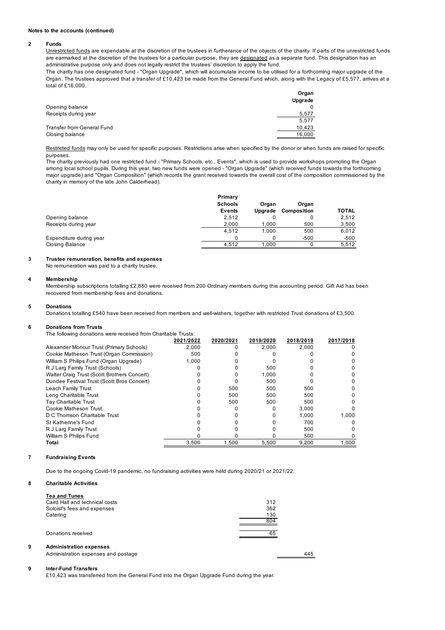#### **Notes to the accounts (continued)**

#### **2 Funds**

Unrestricted funds are expendable at the discretion of the trustees in furtherance of the objects of the charity. If parts of the unrestricted funds are earmarked at the discretion of the trustees for a particular purpose, they are designated as a separate fund. This designation has an administrative purpose only and does not legally restrict the trustees' discretion to apply the fund.

The charity has one designated fund - "Organ Upgrade", which will accumulate income to be utilised for a forthcoming major upgrade of the Organ. The trustees approved that a transfer of £10,423 be made from the General Fund which, along with the Legacy of £5,577, arrives at a total of £16,000.

|                            | Organ<br>Upgrade |
|----------------------------|------------------|
| Opening balance            |                  |
| Receipts during year       | 5,577            |
|                            | 5.577            |
| Transfer from General Fund | 10.423           |
| Closing balance            | 16,000           |

Restricted funds may only be used for specific purposes. Restrictions arise when specified by the donor or when funds are raised for specific purposes.

The charity previously had one restricted fund - "Primary Schools, etc., Events", which is used to provide workshops promoting the Organ among local school pupils. During this year, two new funds were opened - "Organ Upgrade" (which received funds towards the forthcoming major upgrade) and "Organ Composition" (which records the grant received towards the overall cost of the composition commissioned by the charity in memory of the late John Calderhead).

|                         | Primary        |         |             |              |
|-------------------------|----------------|---------|-------------|--------------|
|                         | <b>Schools</b> | Organ   | Organ       |              |
|                         | Events         | Uparade | Composition | <b>TOTAL</b> |
| Opening balance         | 2,512          |         |             | 2,512        |
| Receipts during year    | 2.000          | 1.000   | 500         | 3,500        |
|                         | 4.512          | 1.000   | 500         | 6.012        |
| Expenditure during year |                |         | $-500$      | $-500$       |
| <b>Closing Balance</b>  | 4.512          | 1.000   |             | 5,512        |
|                         |                |         |             |              |

#### **3 Trustee remuneration, benefits and expenses**

No remuneration was paid to a charity trustee.

#### **4 Membership**

Membership subscriptions totalling £2,880 were received from 200 Ordinary members during this accounting period. Gift Aid has been recovered from membership fees and donations.

#### **5 Donations**

Donations totalling £540 have been received from members and well-wishers, together with restricted Trust donations of £3,500.

#### **6 Donations from Trusts**

The following donations were received from Charitable Trusts:

|                                             | 2021/2022 | 2020/2021 | 2019/2020 | 2018/2019 | 2017/2018 |
|---------------------------------------------|-----------|-----------|-----------|-----------|-----------|
| Alexander Moncur Trust (Primary Schools)    | 2.000     |           | 2.000     | 2.000     |           |
| Cookie Matheson Trust (Organ Commission)    | 500       |           |           |           |           |
| William S Philips Fund (Organ Upgrade)      | 1.000     |           |           |           |           |
| R J Larg Family Trust (Schools)             |           |           | 500       |           |           |
| Walter Craig Trust (Scott Brothers Concert) |           |           | 1.000     |           |           |
| Dundee Festival Trust (Scott Bros Concert)  |           |           | 500       |           |           |
| Leach Family Trust                          |           | 500       | 500       | 500       |           |
| Leng Charitable Trust                       |           | 500       | 500       | 500       |           |
| Tay Charitable Trust                        |           | 500       | 500       | 500       |           |
| Cookie Matheson Trust                       |           |           |           | 3.000     |           |
| D C Thomson Charitable Trust                |           |           |           | 1.000     | 1.000     |
| <b>St Katherine's Fund</b>                  |           |           |           | 700       |           |
| R J Larg Family Trust                       |           |           |           | 500       |           |
| William S Philips Fund                      |           |           |           | 500       |           |
| Total                                       | 3.500     | 1.500     | 5.500     | 9.200     | 1.000     |

#### **7 Fundraising Events**

Due to the ongoing Covid-19 pandemic, no fundraising activities were held during 2020/21 or 2021/22.

#### **8 Charitable Activities**

|   | <b>Tea and Tunes</b>                |            |
|---|-------------------------------------|------------|
|   | Caird Hall and technical costs      | 312        |
|   | Soloist's fees and expenses         | 362        |
|   | Catering                            | 130<br>804 |
|   | Donations received                  | 65         |
| 9 | <b>Administration expenses</b>      |            |
|   | Administration expenses and postage | 445        |
|   |                                     |            |

#### **9 Inter-Fund Transfers**

£10,423 was transferred from the General Fund into the Organ Upgrade Fund during the year.